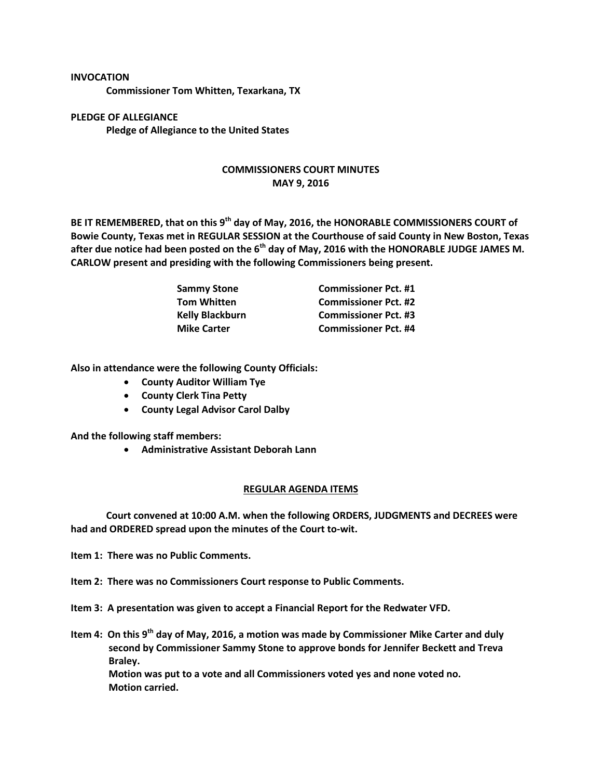## **INVOCATION**

**Commissioner Tom Whitten, Texarkana, TX**

**PLEDGE OF ALLEGIANCE Pledge of Allegiance to the United States**

## **COMMISSIONERS COURT MINUTES MAY 9, 2016**

**BE IT REMEMBERED, that on this 9th day of May, 2016, the HONORABLE COMMISSIONERS COURT of Bowie County, Texas met in REGULAR SESSION at the Courthouse of said County in New Boston, Texas after due notice had been posted on the 6th day of May, 2016 with the HONORABLE JUDGE JAMES M. CARLOW present and presiding with the following Commissioners being present.**

| <b>Sammy Stone</b>     | <b>Commissioner Pct. #1</b> |
|------------------------|-----------------------------|
| <b>Tom Whitten</b>     | <b>Commissioner Pct. #2</b> |
| <b>Kelly Blackburn</b> | <b>Commissioner Pct. #3</b> |
| <b>Mike Carter</b>     | <b>Commissioner Pct. #4</b> |

**Also in attendance were the following County Officials:**

- **County Auditor William Tye**
- **County Clerk Tina Petty**
- **County Legal Advisor Carol Dalby**

**And the following staff members:**

**Administrative Assistant Deborah Lann**

## **REGULAR AGENDA ITEMS**

**Court convened at 10:00 A.M. when the following ORDERS, JUDGMENTS and DECREES were had and ORDERED spread upon the minutes of the Court to-wit.**

**Item 1: There was no Public Comments.**

**Item 2: There was no Commissioners Court response to Public Comments.**

**Item 3: A presentation was given to accept a Financial Report for the Redwater VFD.**

**Item 4: On this 9th day of May, 2016, a motion was made by Commissioner Mike Carter and duly second by Commissioner Sammy Stone to approve bonds for Jennifer Beckett and Treva Braley.**

**Motion was put to a vote and all Commissioners voted yes and none voted no. Motion carried.**